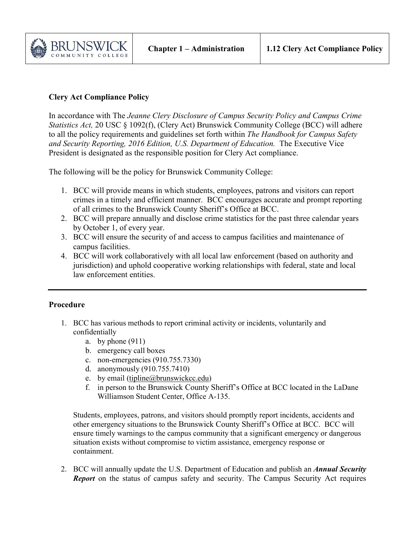

## **Clery Act Compliance Policy**

In accordance with The *Jeanne Clery Disclosure of Campus Security Policy and Campus Crime Statistics Act, 20 USC § 1092(f), (Clery Act) Brunswick Community College (BCC) will adhere* to all the policy requirements and guidelines set forth within *The Handbook for Campus Safety and Security Reporting, 2016 Edition, U.S. Department of Education.* The Executive Vice President is designated as the responsible position for Clery Act compliance.

The following will be the policy for Brunswick Community College:

- 1. BCC will provide means in which students, employees, patrons and visitors can report crimes in a timely and efficient manner. BCC encourages accurate and prompt reporting of all crimes to the Brunswick County Sheriff's Office at BCC.
- 2. BCC will prepare annually and disclose crime statistics for the past three calendar years by October 1, of every year.
- 3. BCC will ensure the security of and access to campus facilities and maintenance of campus facilities.
- 4. BCC will work collaboratively with all local law enforcement (based on authority and jurisdiction) and uphold cooperative working relationships with federal, state and local law enforcement entities.

## **Procedure**

- 1. BCC has various methods to report criminal activity or incidents, voluntarily and confidentially
	- a. by phone  $(911)$
	- b. emergency call boxes
	- c. non-emergencies (910.755.7330)
	- d. anonymously (910.755.7410)
	- e. by email [\(tipline@brunswickcc.edu\)](mailto:tipline@brunswickcc.edu)
	- f. in person to the Brunswick County Sheriff's Office at BCC located in the LaDane Williamson Student Center, Office A-135.

Students, employees, patrons, and visitors should promptly report incidents, accidents and other emergency situations to the Brunswick County Sheriff's Office at BCC. BCC will ensure timely warnings to the campus community that a significant emergency or dangerous situation exists without compromise to victim assistance, emergency response or containment.

2. BCC will annually update the U.S. Department of Education and publish an *Annual Security Report* on the status of campus safety and security. The Campus Security Act requires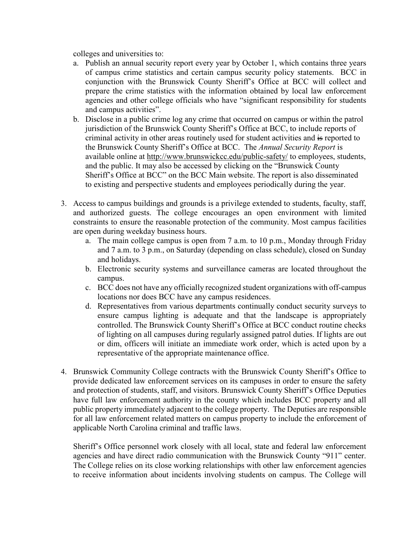colleges and universities to:

- a. Publish an annual security report every year by October 1, which contains three years of campus crime statistics and certain campus security policy statements. BCC in conjunction with the Brunswick County Sheriff's Office at BCC will collect and prepare the crime statistics with the information obtained by local law enforcement agencies and other college officials who have "significant responsibility for students and campus activities".
- b. Disclose in a public crime log any crime that occurred on campus or within the patrol jurisdiction of the Brunswick County Sheriff's Office at BCC, to include reports of criminal activity in other areas routinely used for student activities and is reported to the Brunswick County Sheriff's Office at BCC. The *Annual Security Report* is available online at<http://www.brunswickcc.edu/public-safety/> to employees, students, and the public. It may also be accessed by clicking on the "Brunswick County Sheriff's Office at BCC" on the BCC Main website. The report is also disseminated to existing and perspective students and employees periodically during the year.
- 3. Access to campus buildings and grounds is a privilege extended to students, faculty, staff, and authorized guests. The college encourages an open environment with limited constraints to ensure the reasonable protection of the community. Most campus facilities are open during weekday business hours.
	- a. The main college campus is open from 7 a.m. to 10 p.m., Monday through Friday and 7 a.m. to 3 p.m., on Saturday (depending on class schedule), closed on Sunday and holidays.
	- b. Electronic security systems and surveillance cameras are located throughout the campus.
	- c. BCC does not have any officially recognized student organizations with off-campus locations nor does BCC have any campus residences.
	- d. Representatives from various departments continually conduct security surveys to ensure campus lighting is adequate and that the landscape is appropriately controlled. The Brunswick County Sheriff's Office at BCC conduct routine checks of lighting on all campuses during regularly assigned patrol duties. If lights are out or dim, officers will initiate an immediate work order, which is acted upon by a representative of the appropriate maintenance office.
- 4. Brunswick Community College contracts with the Brunswick County Sheriff's Office to provide dedicated law enforcement services on its campuses in order to ensure the safety and protection of students, staff, and visitors. Brunswick County Sheriff's Office Deputies have full law enforcement authority in the county which includes BCC property and all public property immediately adjacent to the college property. The Deputies are responsible for all law enforcement related matters on campus property to include the enforcement of applicable North Carolina criminal and traffic laws.

Sheriff's Office personnel work closely with all local, state and federal law enforcement agencies and have direct radio communication with the Brunswick County "911" center. The College relies on its close working relationships with other law enforcement agencies to receive information about incidents involving students on campus. The College will